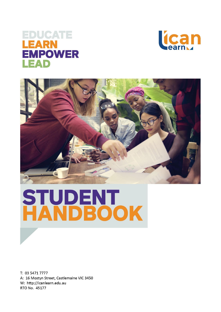# EDUCATE EARN **EMPOWER** EAD





# **STUDENT<br>HANDBOOK**

T: 03 5471 7777 A: 16 Mostyn Street, Castlemaine VIC 3450 W: http://icanlearn.edu.au RTO No. 45177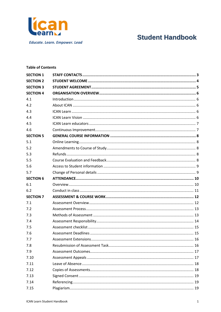

**Educate. Learn. Empower. Lead** 

# **Student Handbook**

# **Table of Contents**

| <b>SECTION 1</b> |  |
|------------------|--|
| <b>SECTION 2</b> |  |
| <b>SECTION 3</b> |  |
| <b>SECTION 4</b> |  |
| 4.1              |  |
| 4.2              |  |
| 4.3              |  |
| 4.4              |  |
| 4.5              |  |
| 4.6              |  |
| <b>SECTION 5</b> |  |
| 5.1              |  |
| 5.2              |  |
| 5.3              |  |
| 5.5              |  |
| 5.6              |  |
| 5.7              |  |
| <b>SECTION 6</b> |  |
| 6.1              |  |
| 6.2              |  |
| <b>SECTION 7</b> |  |
| 7.1              |  |
| 7.2              |  |
| 7.3              |  |
| 7.4              |  |
| 7.5              |  |
| 7.6              |  |
| 7.7              |  |
| 7.8              |  |
| 7.9              |  |
| 7.10             |  |
| 7.11             |  |
| 7.12             |  |
| 7.13             |  |
| 7.14             |  |
| 7.15             |  |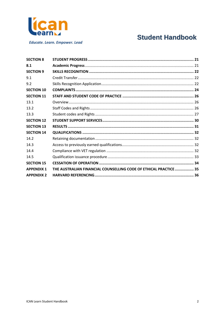

**Educate. Learn. Empower. Lead** 

# **Student Handbook**

| <b>SECTION 8</b>  |                                                                   |  |
|-------------------|-------------------------------------------------------------------|--|
| 8.1               |                                                                   |  |
| <b>SECTION 9</b>  |                                                                   |  |
| 9.1               |                                                                   |  |
| 9.2               |                                                                   |  |
| <b>SECTION 10</b> |                                                                   |  |
| <b>SECTION 11</b> |                                                                   |  |
| 13.1              |                                                                   |  |
| 13.2              |                                                                   |  |
| 13.3              |                                                                   |  |
| <b>SECTION 12</b> |                                                                   |  |
| <b>SECTION 13</b> |                                                                   |  |
| <b>SECTION 14</b> |                                                                   |  |
| 14.2              |                                                                   |  |
| 14.3              |                                                                   |  |
| 14.4              |                                                                   |  |
| 14.5              |                                                                   |  |
| <b>SECTION 15</b> |                                                                   |  |
| <b>APPENDIX 1</b> | THE AUSTRALIAN FINANCIAL COUNSELLING CODE OF ETHICAL PRACTICE  35 |  |
| <b>APPENDIX 2</b> |                                                                   |  |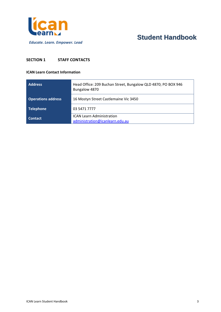

# <span id="page-3-0"></span>**SECTION 1 STAFF CONTACTS**

#### **ICAN Learn Contact Information**

| <b>Address</b>            | Head Office: 209 Buchan Street, Bungalow QLD 4870; PO BOX 946<br>Bungalow 4870 |
|---------------------------|--------------------------------------------------------------------------------|
| <b>Operations address</b> | 16 Mostyn Street Castlemaine Vic 3450                                          |
| <b>Telephone</b>          | 03 5471 7777                                                                   |
| <b>Contact</b>            | <b>ICAN Learn Administration</b><br>administration@icanlearn.edu.au            |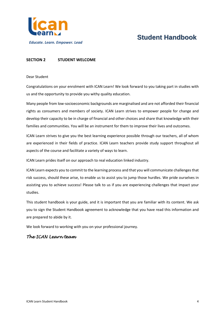

# <span id="page-4-0"></span>**SECTION 2 STUDENT WELCOME**

#### Dear Student

Congratulations on your enrolment with ICAN Learn! We look forward to you taking part in studies with us and the opportunity to provide you withy quality education.

Many people from low-socioeconomic backgrounds are marginalised and are not afforded their financial rights as consumers and members of society. ICAN Learn strives to empower people for change and develop their capacity to be in charge of financial and other choices and share that knowledge with their families and communities. You will be an instrument for them to improve their lives and outcomes.

ICAN Learn strives to give you the best learning experience possible through our teachers, all of whom are experienced in their fields of practice. ICAN Learn teachers provide study support throughout all aspects of the course and facilitate a variety of ways to learn.

ICAN Learn prides itself on our approach to real education linked industry.

ICAN Learn expects you to commit to the learning process and that you will communicate challenges that risk success, should these arise, to enable us to assist you to jump those hurdles. We pride ourselves in assisting you to achieve success! Please talk to us if you are experiencing challenges that impact your studies.

This student handbook is your guide, and it is important that you are familiar with its content. We ask you to sign the Student Handbook agreement to acknowledge that you have read this information and are prepared to abide by it.

We look forward to working with you on your professional journey.

# *The ICAN Learn team*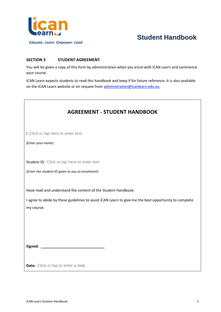

# <span id="page-5-0"></span>**SECTION 3 STUDENT AGREEMENT**

You will be given a copy of this form by administration when you enrol with ICAN Learn and commence your course.

ICAN Learn expects students to read this handbook and keep if for future reference. It is also available on the ICAN Learn website or on request from [administration@icanlearn.edu.au](mailto:administration@icanlearn.edu.au)

| <b>AGREEMENT - STUDENT HANDBOOK</b>                                                                                                                                                  |
|--------------------------------------------------------------------------------------------------------------------------------------------------------------------------------------|
| I Click or tap here to enter text.<br>(Enter your name)                                                                                                                              |
| Student ID: Click or tap here to enter text.<br>(Enter the student ID given to you at enrolment)                                                                                     |
| Have read and understand the content of the Student Handbook.<br>I agree to abide by these guidelines to assist ICAN Learn to give me the best opportunity to complete<br>my course. |
| <b>Date:</b> Click or tap to enter a date.                                                                                                                                           |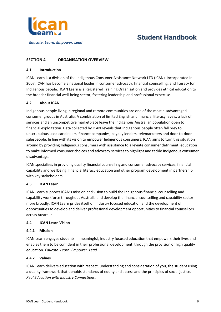

# <span id="page-6-0"></span>**SECTION 4 ORGANISATION OVERVIEW**

#### <span id="page-6-1"></span>**4.1 Introduction**

ICAN Learn is a division of the Indigenous Consumer Assistance Network LTD (ICAN). Incorporated in 2007, ICAN has become a national leader in consumer advocacy, financial counselling, and literacy for Indigenous people. ICAN Learn is a Registered Training Organisation and provides ethical education to the broader financial well-being sector; fostering leadership and professional expertise.

### <span id="page-6-2"></span>**4.2 About ICAN**

Indigenous people living in regional and remote communities are one of the most disadvantaged consumer groups in Australia. A combination of limited English and financial literacy levels, a lack of services and an uncompetitive marketplace leave the Indigenous Australian population open to financial exploitation. Data collected by ICAN reveals that Indigenous people often fall prey to unscrupulous used car dealers, finance companies, payday lenders, telemarketers and door-to-door salespeople. In line with its vision to empower Indigenous consumers, ICAN aims to turn this situation around by providing Indigenous consumers with assistance to alleviate consumer detriment, education to make informed consumer choices and advocacy services to highlight and tackle Indigenous consumer disadvantage.

ICAN specialises in providing quality financial counselling and consumer advocacy services, financial capability and wellbeing, financial literacy education and other program development in partnership with key stakeholders.

#### <span id="page-6-3"></span>**4.3 ICAN Learn**

ICAN Learn supports ICAN's mission and vision to build the Indigenous financial counselling and capability workforce throughout Australia and develop the financial counselling and capability sector more broadly. ICAN Learn prides itself on industry focused education and the development of opportunities to develop and deliver professional development opportunities to financial counsellors across Australia.

#### <span id="page-6-4"></span>**4.4 ICAN Learn Vision**

#### **4.4.1 Mission**

ICAN Learn engages students in meaningful, industry focused education that empowers their lives and enables them to be confident in their professional development, through the provision of high quality education. *Educate. Learn. Empower. Lead.*

### **4.4.2 Values**

ICAN Learn delivers education with respect, understanding and consideration of you, the student using a quality framework that upholds standards of equity and access and the principles of social justice. *Real Education with Industry Connections*.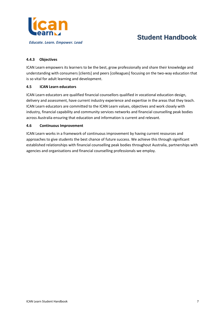

## **4.4.3 Objectives**

ICAN Learn empowers its learners to be the best, grow professionally and share their knowledge and understanding with consumers [clients] and peers [colleagues] focusing on the two-way education that is so vital for adult learning and development.

#### <span id="page-7-0"></span>**4.5 ICAN Learn educators**

ICAN Learn educators are qualified financial counsellors qualified in vocational education design, delivery and assessment, have current industry experience and expertise in the areas that they teach. ICAN Learn educators are committed to the ICAN Learn values, objectives and work closely with industry, financial capability and community services networks and financial counselling peak bodies across Australia ensuring that education and information is current and relevant.

#### <span id="page-7-1"></span>**4.6 Continuous Improvement**

ICAN Learn works in a framework of continuous improvement by having current resources and approaches to give students the best chance of future success. We achieve this through significant established relationships with financial counselling peak bodies throughout Australia, partnerships with agencies and organisations and financial counselling professionals we employ.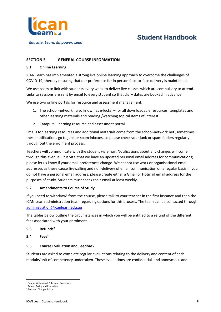

*Educate. Learn. Empower. Lead*

# <span id="page-8-0"></span>**SECTION 5 GENERAL COURSE INFORMATION**

### <span id="page-8-1"></span>**5.1 Online Learning**

ICAN Learn has implemented a strong live online learning approach to overcome the challenges of COVID-19, thereby ensuring that our preference for in person face-to-face delivery is maintained.

We use zoom to link with students every week to deliver live classes which are compulsory to attend. Links to sessions are sent by email to every student so that diary dates are booked in advance.

We use two online portals for resource and assessment management.

- 1. The school-network [ also known as e-lecta] for all downloadable resources, templates and other learning materials and reading /watching topical items of interest
- 2. Catapult learning resource and assessment portal

Emails for learning resources and additional materials come from the school-network.net ;sometimes these notifications go to junk or spam inboxes, so please check your junk or spam folders regularly throughout the enrolment process.

Teachers will communicate with the student via email. Notifications about any changes will come through this avenue. It is vital that we have an updated personal email address for communications; please let us know if your email preferences change. We cannot use work or organisational email addresses as these cause firewalling and non-delivery of email communication on a regular basis. If you do not have a personal email address, please create either a Gmail or Hotmail email address for the purposes of study. Students must check their email at least weekly.

### <span id="page-8-2"></span>**5.2 Amendments to Course of Study**

If you need to withdraw<sup>1</sup> from the course, please talk to your teacher in the first instance and then the ICAN Learn administration team regarding options for this process. The team can be contacted through [administration@icanlearn.edu.au](mailto:administration@icanlearn.edu.au)

The tables below outline the circumstances in which you will be entitled to a refund of the different fees associated with your enrolment.

### <span id="page-8-3"></span>**5.3 Refunds<sup>2</sup>**

**5.4 Fees<sup>3</sup>**

#### <span id="page-8-4"></span>**5.5 Course Evaluation and Feedback**

Students are asked to complete regular evaluations relating to the delivery and content of each module/unit of competency undertaken. These evaluations are confidential, and anonymous and

<sup>1</sup> Course Withdrawal Policy and Procedure

<sup>2</sup> Refund Policy and Procedure

<sup>&</sup>lt;sup>3</sup> Fees and Charges Policy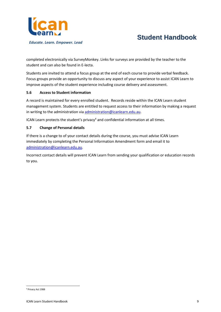

completed electronically via SurveyMonkey. Links for surveys are provided by the teacher to the student and can also be found in E-lecta.

Students are invited to attend a focus group at the end of each course to provide verbal feedback. Focus groups provide an opportunity to discuss any aspect of your experience to assist ICAN Learn to improve aspects of the student experience including course delivery and assessment.

### <span id="page-9-0"></span>**5.6 Access to Student information**

A record is maintained for every enrolled student. Records reside within the ICAN Learn student management system. Students are entitled to request access to their information by making a request in writing to the administration via [administration@icanlearn.edu.au.](mailto:administration@icanlearn.edu.au)

ICAN Learn protects the student's privacy<sup>4</sup> and confidential information at all times.

### <span id="page-9-1"></span>**5.7 Change of Personal details**

If there is a change to of your contact details during the course, you must advise ICAN Learn immediately by completing the Personal Information Amendment form and email it to [administration@icanlearn.edu.au.](mailto:administration@icanlearn.edu.au)

Incorrect contact details will prevent ICAN Learn from sending your qualification or education records to you.

<sup>4</sup> Privacy Act 1988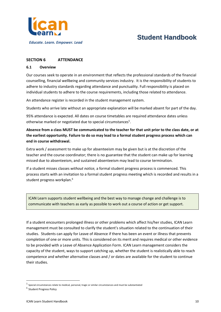

# <span id="page-10-0"></span>**SECTION 6 ATTENDANCE**

#### <span id="page-10-1"></span>**6.1 Overview**

Our courses seek to operate in an environment that reflects the professional standards of the financial counselling, financial wellbeing and community services industry. It is the responsibility of students to adhere to industry standards regarding attendance and punctuality. Full responsibility is placed on individual students to adhere to the course requirements, including those related to attendance.

An attendance register is recorded in the student management system.

Students who arrive late without an appropriate explanation will be marked absent for part of the day.

95% attendance is expected. All dates on course timetables are required attendance dates unless otherwise marked or negotiated due to special circumstances<sup>5</sup>.

# **Absence from a class MUST be communicated to the teacher for that unit prior to the class date, or at the earliest opportunity. Failure to do so may lead to a formal student progress process which can end in course withdrawal.**

Extra work / assessment to make up for absenteeism may be given but is at the discretion of the teacher and the course coordinator; there is no guarantee that the student can make up for learning missed due to absenteeism, and sustained absenteeism may lead to course termination.

If a student misses classes *without notice,* a formal student progress process is commenced. This process starts with an invitation to a formal student progress meeting which is recorded and results in a student progress workplan.<sup>6</sup>

ICAN Learn supports student wellbeing and the best way to manage change and challenge is to communicate with teachers as early as possible to work out a course of action or get support.

If a student encounters prolonged illness or other problems which affect his/her studies, ICAN Learn management must be consulted to clarify the student's situation related to the continuation of their studies. Students can apply for Leave of Absence if there has been an event or illness that prevents completion of one or more units. This is considered on its merit and requires medical or other evidence to be provided with a Leave of Absence Application Form. ICAN Learn management considers the capacity of the student, ways to support catching up, whether the student is realistically able to reach competence and whether alternative classes and / or dates are available for the student to continue their studies.

 $^5$  Special circumstances relate to medical, personal, tragic or similar circumstances and must be substantiated

<sup>&</sup>lt;sup>6</sup> Student Progress Policy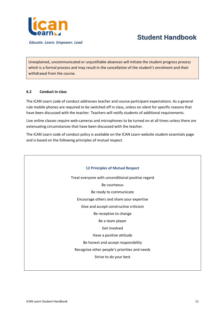

Unexplained, uncommunicated or unjustifiable absences will initiate the student progress process which is a formal process and may result in the cancellation of the student's enrolment and their withdrawal from the course.

#### <span id="page-11-0"></span>**6.2 Conduct in class**

The ICAN Learn code of conduct addresses teacher and course participant expectations. As a general rule mobile phones are required to be switched off in class, unless on silent for specific reasons that have been discussed with the teacher. Teachers will notify students of additional requirements.

Live online classes require web-cameras and microphones to be turned on at all times unless there are extenuating circumstances that have been discussed with the teacher.

The ICAN Learn code of conduct policy is available on the ICAN Learn website student essentials page and is based on the following principles of mutual respect.

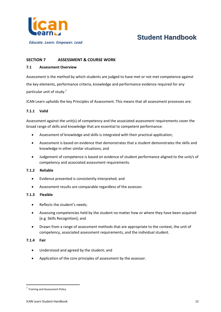

# <span id="page-12-0"></span>**SECTION 7 ASSESSMENT & COURSE WORK**

## <span id="page-12-1"></span>**7.1 Assessment Overview**

Assessment is the method by which students are judged to have met or not met competence against the key elements, performance criteria, knowledge and performance evidence required for any particular unit of study.<sup>7</sup>

ICAN Learn upholds the key Principles of Assessment. This means that all assessment processes are:

# **7.1.1 Valid**

Assessment against the unit(s) of competency and the associated assessment requirements cover the broad range of skills and knowledge that are essential to competent performance:

- Assessment of knowledge and skills is integrated with their practical application;
- Assessment is based on evidence that demonstrates that a student demonstrates the skills and knowledge in other similar situations; and
- Judgement of competence is based on evidence of student performance aligned to the unit/s of competency and associated assessment requirements.

### **7.1.2 Reliable**

- Evidence presented is consistently interpreted; and
- Assessment results are comparable regardless of the assessor.

### **7.1.3 Flexible**

- Reflects the student's needs;
- Assessing competencies held by the student no matter how or where they have been acquired [e.g. Skills Recognition]; and
- Drawn from a range of assessment methods that are appropriate to the context, the unit of competency, associated assessment requirements, and the individual student.

#### **7.1.4 Fair**

- Understood and agreed by the student; and
- Application of the core principles of assessment by the assessor.

 $^7$  Training and Assessment Policy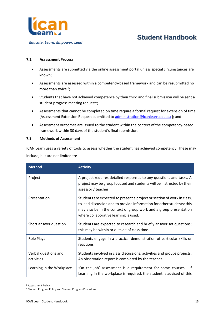

### <span id="page-13-0"></span>**7.2 Assessment Process**

- Assessments are submitted via the online assessment portal unless special circumstances are known;
- Assessments are assessed within a competency-based framework and can be resubmitted no more than twice  ${}^{8}$ ;
- Students that have not achieved competence by their third and final submission will be sent a student progress meeting request<sup>9</sup>;
- Assessments that cannot be completed on time require a formal request for extension of time [Assessment Extension Request submitted to [administration@icanlearn.edu.au](mailto:administration@icanlearn.edu.au) ]; and
- Assessment outcomes are issued to the student within the context of the competency-based framework within 30 days of the student's final submission.

#### <span id="page-13-1"></span>**7.3 Methods of Assessment**

ICAN Learn uses a variety of tools to assess whether the student has achieved competency. These may include, but are not limited to:

| <b>Method</b>                      | <b>Activity</b>                                                                                                                                                                                                                                                 |
|------------------------------------|-----------------------------------------------------------------------------------------------------------------------------------------------------------------------------------------------------------------------------------------------------------------|
| Project                            | A project requires detailed responses to any questions and tasks. A<br>project may be group focused and students will be instructed by their<br>assessor / teacher                                                                                              |
| Presentation                       | Students are expected to present a project or section of work in class,<br>to lead discussion and to provide information for other students; this<br>may also be in the context of group work and a group presentation<br>where collaborative learning is used. |
| Short answer question              | Students are expected to research and briefly answer set questions;<br>this may be within or outside of class time.                                                                                                                                             |
| Role Plays                         | Students engage in a practical demonstration of particular skills or<br>reactions.                                                                                                                                                                              |
| Verbal questions and<br>activities | Students involved in class discussions, activities and groups projects.<br>An observation report is completed by the teacher.                                                                                                                                   |
| Learning in the Workplace          | 'On the job' assessment is a requirement for some courses. If<br>Learning in the workplace is required, the student is advised of this                                                                                                                          |

<sup>8</sup> Assessment Policy

<sup>9</sup> Student Progress Policy and Student Progress Procedure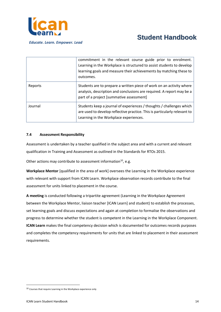

|         | commitment in the relevant course guide prior to enrolment.<br>Learning in the Workplace is structured to assist students to develop<br>learning goals and measure their achievements by matching these to<br>outcomes. |
|---------|-------------------------------------------------------------------------------------------------------------------------------------------------------------------------------------------------------------------------|
| Reports | Students are to prepare a written piece of work on an activity where<br>analysis, description and conclusions are required. A report may be a<br>part of a project [summative assessment]                               |
| Journal | Students keep a journal of experiences / thoughts / challenges which<br>are used to develop reflective practice. This is particularly relevant to<br>Learning in the Workplace experiences.                             |

### <span id="page-14-0"></span>**7.4 Assessment Responsibility**

Assessment is undertaken by a teacher qualified in the subject area and with a current and relevant qualification in Training and Assessment as outlined in the Standards for RTOs 2015.

Other actions may contribute to assessment information<sup>10</sup>, e.g.

**Workplace Mentor** [qualified in the area of work] oversees the Learning in the Workplace experience with relevant with support from ICAN Learn. Workplace observation records contribute to the final assessment for units linked to placement in the course.

**A meeting** is conducted following a tripartite agreement (Learning in the Workplace Agreement between the Workplace Mentor, liaison teacher [ICAN Learn] and student) to establish the processes, set learning goals and discuss expectations and again at completion to formalise the observations and progress to determine whether the student is competent in the Learning in the Workplace Component. **ICAN Learn** makes the final competency decision which is documented for outcomes records purposes and completes the competency requirements for units that are linked to placement in their assessment requirements.

<sup>10</sup> Courses that require Learning in the Workplace experience only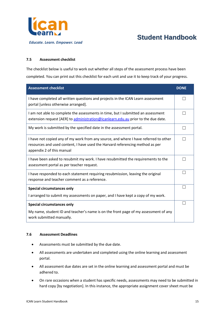

### <span id="page-15-0"></span>**7.5 Assessment checklist**

The checklist below is useful to work out whether all steps of the assessment process have been completed. You can print out this checklist for each unit and use it to keep track of your progress.

| <b>Assessment checklist</b>                                                                                                                                                                        | <b>DONE</b> |
|----------------------------------------------------------------------------------------------------------------------------------------------------------------------------------------------------|-------------|
| I have completed all written questions and projects in the ICAN Learn assessment<br>portal [unless otherwise arranged].                                                                            |             |
| I am not able to complete the assessments in time, but I submitted an assessment<br>extension request [AER] to administration@icanlearn.edu.au prior to the due date.                              |             |
| My work is submitted by the specified date in the assessment portal.                                                                                                                               |             |
| I have not copied any of my work from any source, and where I have referred to other<br>resources and used content, I have used the Harvard referencing method as per<br>appendix 2 of this manual |             |
| I have been asked to resubmit my work. I have resubmitted the requirements to the<br>assessment portal as per teacher request.                                                                     |             |
| I have responded to each statement requiring resubmission, leaving the original<br>response and teacher comment as a reference.                                                                    |             |
| <b>Special circumstances only</b>                                                                                                                                                                  |             |
| I arranged to submit my assessments on paper, and I have kept a copy of my work.                                                                                                                   |             |
| <b>Special circumstances only</b>                                                                                                                                                                  |             |
| My name, student ID and teacher's name is on the front page of my assessment of any<br>work submitted manually.                                                                                    |             |

#### <span id="page-15-1"></span>**7.6 Assessment Deadlines**

- Assessments must be submitted by the due date.
- All assessments are undertaken and completed using the online learning and assessment portal.
- All assessment due dates are set in the online learning and assessment portal and must be adhered to.
- On rare occasions when a student has specific needs, assessments may need to be submitted in hard copy [by negotiation]. In this instance, the appropriate assignment cover sheet must be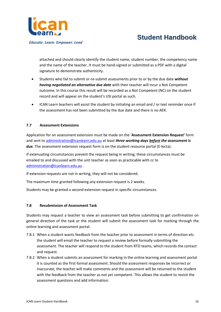

attached and should clearly identify the student name, student number, the competency name and the name of the teacher. It must be hand-signed or submitted as a PDF with a digital signature to demonstrate authenticity.

- Students who fail to submit or-re-submit assessments prior to or by the due date *without having negotiated an alternative due date* with their teacher will incur a Not Competent outcome. In this course this result will be recorded as a Not Competent (NC) on the student record and will appear on the student's USI portal as such.
- ICAN Learn teachers will assist the student by initiating an email and / or text reminder once if the assessment has not been submitted by the due date and there is no AER.

### <span id="page-16-0"></span>**7.7 Assessment Extensions**

Application for an assessment extension must be made on the '**Assessment Extension Request'** form and sent to [administration@icanlearn.edu.au](mailto:administration@icanlearn.edu.au) at least *three working days before the assessment is*  due. The assessment extension request form is on the student resource portal (E-lecta).

If extenuating circumstances prevent the request being in writing, these circumstances must be emailed to and discussed with the unit teacher as soon as practicable with cc to [administration@icanlearn.edu.au](mailto:administration@icanlearn.edu.au) .

If extension requests are not in writing, they will not be considered.

The maximum time granted following any extension request is 2 weeks.

Students may be granted a second extension request in specific circumstances.

#### <span id="page-16-1"></span>**7.8 Resubmission of Assessment Task**

Students may request a teacher to view an assessment task before submitting to get confirmation on general direction of the task or the student will submit the assessment task for marking through the online learning and assessment portal.

- 7.8.1 When a student wants feedback from the teacher prior to assessment in terms of direction etc. the student will email the teacher to request a review before formally submitting the assessment. The teacher will respond to the student from RTO teams, which records the contact and request.
- 7.8.2 When a student submits an assessment for marking in the online learning and assessment portal it is counted as the first formal assessment. Should the assessment responses be incorrect or inaccurate, the teacher will make comments and the assessment will be returned to the student with the feedback from the teacher as not yet competent. This allows the student to revisit the assessment questions and add information.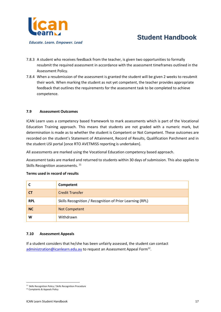

- 7.8.3 A student who receives feedback from the teacher, is given two opportunities to formally resubmit the required assessment in accordance with the assessment timeframes outlined in the Assessment Policy.
- 7.8.4 When a resubmission of the assessment is granted the student will be given 2 weeks to resubmit their work. When marking the student as not yet competent, the teacher provides appropriate feedback that outlines the requirements for the assessment task to be completed to achieve competence.

#### <span id="page-17-0"></span>**7.9 Assessment Outcomes**

ICAN Learn uses a competency based framework to mark assessments which is part of the Vocational Education Training approach. This means that students are not graded with a numeric mark, but determination is made as to whether the student is Competent or Not Competent. These outcomes are recorded on the student's Statement of Attainment, Record of Results, Qualification Parchment and in the student USI portal [once RTO AVETMISS reporting is undertaken].

All assessments are marked using the Vocational Education competency based approach.

Assessment tasks are marked and returned to students within 30 days of submission. This also applies to Skills Recognition assessments.<sup>11</sup>

|            | Competent                                                |
|------------|----------------------------------------------------------|
| <b>CT</b>  | <b>Credit Transfer</b>                                   |
| <b>RPL</b> | Skills Recognition / Recognition of Prior Learning (RPL) |
| <b>NC</b>  | <b>Not Competent</b>                                     |
| W          | Withdrawn                                                |

#### **Terms used in record of results**

#### <span id="page-17-1"></span>**7.10 Assessment Appeals**

If a student considers that he/she has been unfairly assessed, the student can contact [administration@icanlearn.edu.au](mailto:administration@icanlearn.edu.au) to request an Assessment Appeal Form<sup>12</sup>.

<sup>&</sup>lt;sup>11</sup> Skills Recognition Policy / Skills Recognition Procedure

<sup>12</sup> Complaints & Appeals Policy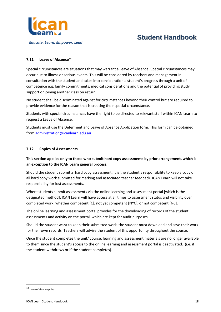

## <span id="page-18-0"></span>**7.11 Leave of Absence<sup>13</sup>**

Special circumstances are situations that may warrant a Leave of Absence. Special circumstances may occur due to illness or serious events. This will be considered by teachers and management in consultation with the student and takes into consideration a student's progress through a unit of competence e.g. family commitments, medical considerations and the potential of providing study support or joining another class on return.

No student shall be discriminated against for circumstances beyond their control but are required to provide evidence for the reason that is creating their special circumstance.

Students with special circumstances have the right to be directed to relevant staff within ICAN Learn to request a Leave of Absence.

Students must use the Deferment and Leave of Absence Application form. This form can be obtained from [administration@icanlearn.edu.au](mailto:administration@icanlearn.edu.au)

### <span id="page-18-1"></span>**7.12 Copies of Assessments**

# **This section applies only to those who submit hard copy assessments by prior arrangement, which is an exception to the ICAN Learn general process.**

Should the student submit a hard copy assessment, it is the student's responsibility to keep a copy of all hard copy work submitted for marking and associated teacher feedback. ICAN Learn will not take responsibility for lost assessments.

Where students submit assessments via the online learning and assessment portal [which is the designated method], ICAN Learn will have access at all times to assessment status and visibility over completed work, whether competent [C], not yet competent [NYC], or not competent [NC].

The online learning and assessment portal provides for the downloading of records of the student assessments and activity on the portal, which are kept for audit purposes.

Should the student want to keep their submitted work, the student must download and save their work for their own records. Teachers will advise the student of this opportunity throughout the course.

Once the student completes the unit/ course, learning and assessment materials are no longer available to them since the student's access to the online learning and assessment portal is deactivated. (i.e. if the student withdraws or if the student completes).

<sup>13</sup> Leave of absence policy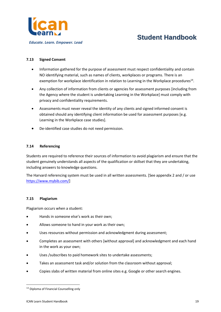

## <span id="page-19-0"></span>**7.13 Signed Consent**

- Information gathered for the purpose of assessment must respect confidentiality and contain NO identifying material, such as names of clients, workplaces or programs. There is an exemption for workplace identification in relation to Learning in the Workplace procedures<sup>14</sup>.
- Any collection of information from clients or agencies for assessment purposes [including from the Agency where the student is undertaking Learning in the Workplace] must comply with privacy and confidentiality requirements.
- Assessments must never reveal the identity of any clients and signed informed consent is obtained should any identifying client information be used for assessment purposes [e.g. Learning in the Workplace case studies].
- De-identified case studies do not need permission.

### <span id="page-19-1"></span>**7.14 Referencing**

Students are required to reference their sources of information to avoid plagiarism and ensure that the student genuinely understands all aspects of the qualification or skillset that they are undertaking, including answers to knowledge questions.

The Harvard referencing system must be used in all written assessments. [See appendix 2 and / or use [https://www.mybib.com/\]](https://www.mybib.com/)

### <span id="page-19-2"></span>**7.15 Plagiarism**

Plagiarism occurs when a student:

- Hands in someone else's work as their own;
- Allows someone to hand in your work as their own;
- Uses resources without permission and acknowledgment during assessment;
- Completes an assessment with others [without approval] and acknowledgment and each hand in the work as your own;
- Uses /subscribes to paid homework sites to undertake assessments:
- Takes an assessment task and/or solution from the classroom without approval;
- Copies slabs of written material from online sites e.g. Google or other search engines.

<sup>&</sup>lt;sup>14</sup> Diploma of Financial Counselling only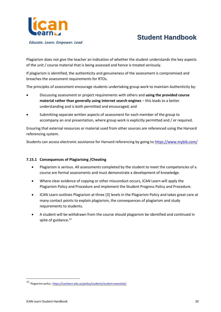

Plagiarism does not give the teacher an indication of whether the student understands the key aspects of the unit / course material that is being assessed and hence is treated seriously.

If plagiarism is identified, the authenticity and genuineness of the assessment is compromised and breaches the assessment requirements for RTOs.

The principles of assessment encourage students undertaking group work to maintain Authenticity by:

- Discussing assessment or project requirements with others and **using the provided course material rather than generally using internet search engines** – this leads to a better understanding and is both permitted and encouraged; and
- Submitting separate written aspects of assessment for each member of the group to accompany an oral presentation, where group work is explicitly permitted and / or required.

Ensuring that external resources or material used from other sources are referenced using the Harvard referencing system.

Students can access electronic assistance for Harvard referencing by going to<https://www.mybib.com/>

### **7.15.1 Consequences of Plagiarising /Cheating**

- Plagiarism is serious. All assessments completed by the student to meet the competencies of a course are formal assessments and must demonstrate a development of knowledge.
- Where clear evidence of copying or other misconduct occurs, ICAN Learn will apply the Plagiarism Policy and Procedure and implement the Student Progress Policy and Procedure.
- ICAN Learn outlines Plagiarism at three [3] levels in the Plagiarism Policy and takes great care at many contact points to explain plagiarism, the consequences of plagiarism and study requirements to students.
- A student will be withdrawn from the course should plagiarism be identified and continued in spite of guidance.<sup>15</sup>

<sup>15</sup> Plagiarism policy [; https://icanlearn.edu.au/policy/students/student-essentials/](https://icanlearn.edu.au/policy/students/student-essentials/)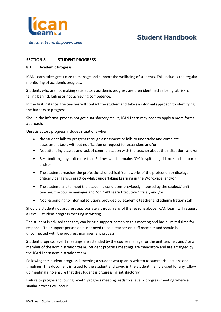

# <span id="page-21-0"></span>**SECTION 8 STUDENT PROGRESS**

#### <span id="page-21-1"></span>**8.1 Academic Progress**

ICAN Learn takes great care to manage and support the wellbeing of students. This includes the regular monitoring of academic progress.

Students who are not making satisfactory academic progress are then identified as being 'at risk' of falling behind, failing or not achieving competence.

In the first instance, the teacher will contact the student and take an informal approach to identifying the barriers to progress.

Should the informal process not get a satisfactory result, ICAN Learn may need to apply a more formal approach.

Unsatisfactory progress includes situations when;

- the student fails to progress through assessment or fails to undertake and complete assessment tasks without notification or request for extension; and/or
- Not attending classes and lack of communication with the teacher about their situation; and/or
- Resubmitting any unit more than 2 times which remains NYC in spite of guidance and support; and/or
- The student breaches the professional or ethical frameworks of the profession or displays critically dangerous practice whilst undertaking Learning in the Workplace; and/or
- The student fails to meet the academic conditions previously imposed by the subject/ unit teacher, the course manager and /or ICAN Learn Executive Officer; and /or
- Not responding to informal solutions provided by academic teacher and administration staff.

Should a student not progress appropriately through any of the reasons above, ICAN Learn will request a Level 1 student progress meeting in writing.

The student is advised that they can bring a support person to this meeting and has a limited time for response. This support person does not need to be a teacher or staff member and should be unconnected with the progress management process.

Student progress level 1 meetings are attended by the course manager or the unit teacher, and / or a member of the administration team. Student progress meetings are mandatory and are arranged by the ICAN Learn administration team.

Following the student progress 1 meeting a student workplan is written to summarise actions and timelines. This document is issued to the student and saved in the student file. It is used for any follow up meeting[s] to ensure that the student is progressing satisfactorily.

Failure to progress following Level 1 progress meeting leads to a level 2 progress meeting where a similar process will occur.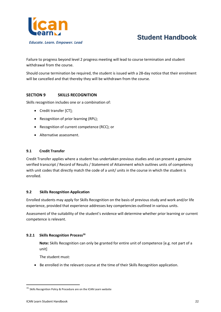

Failure to progress beyond level 2 progress meeting will lead to course termination and student withdrawal from the course.

Should course termination be required, the student is issued with a 28-day notice that their enrolment will be cancelled and that thereby they will be withdrawn from the course.

# <span id="page-22-0"></span>**SECTION 9 SKILLS RECOGNITION**

Skills recognition includes one or a combination of:

- Credit transfer [CT];
- Recognition of prior learning (RPL);
- Recognition of current competence (RCC); or
- Alternative assessment.

### <span id="page-22-1"></span>**9.1 Credit Transfer**

Credit Transfer applies where a student has undertaken previous studies and can present a genuine verified transcript / Record of Results / Statement of Attainment which outlines units of competency with unit codes that directly match the code of a unit/ units in the course in which the student is enrolled.

### <span id="page-22-2"></span>**9.2 Skills Recognition Application**

Enrolled students may apply for Skills Recognition on the basis of previous study and work and/or life experience, provided that experience addresses key competencies outlined in various units.

Assessment of the suitability of the student's evidence will determine whether prior learning or current competence is relevant.

### **9.2.1 Skills Recognition Process<sup>16</sup>**

**Note:** Skills Recognition can only be granted for entire unit of competence [e.g. not part of a unit]

The student must:

• Be enrolled in the relevant course at the time of their Skills Recognition application.

 $16$  Skills Recognition Policy & Procedure are on the ICAN Learn website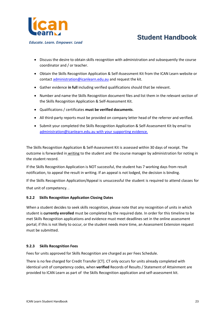

*Educate. Learn. Empower. Lead*

- Discuss the desire to obtain skills recognition with administration and subsequently the course coordinator and / or teacher.
- Obtain the Skills Recognition Application & Self-Assessment Kit from the ICAN Learn website or contact [administration@icanlearn.edu.au](mailto:administration@icanlearn.edu.au) and request the kit.
- Gather evidence **in full** including verified qualifications should that be relevant.
- Number and name the Skills Recognition document files and list them in the relevant section of the Skills Recognition Application & Self-Assessment Kit.
- Qualifications / certificates **must be verified documents**.
- All third-party reports must be provided on company letter head of the referrer and verified.
- Submit your completed the Skills Recognition Application & Self-Assessment Kit by email to [administration@icanlearn.edu.au](mailto:administration@icanlearn.edu.au) with your supporting evidence.

The Skills Recognition Application & Self-Assessment Kit is assessed within 30 days of receipt. The outcome is forwarded in writing to the student and the course manager by administration for noting in the student record.

If the Skills Recognition Application is NOT successful, the student has 7 working days from result notification, to appeal the result in writing. If an appeal is not lodged, the decision is binding.

If the Skills Recognition Application/Appeal is unsuccessful the student is required to attend classes for that unit of competency. .

# **9.2.2 Skills Recognition Application Closing Dates**

When a student decides to seek skills recognition, please note that any recognition of units in which student is **currently enrolled** must be completed by the required date. In order for this timeline to be met Skills Recognition applications and evidence must meet deadlines set in the online assessment portal; if this is not likely to occur, or the student needs more time, an Assessment Extension request must be submitted.

# **9.2.3 Skills Recognition Fees**

Fees for units approved for Skills Recognition are charged as per Fees Schedule.

There is no fee charged for Credit Transfer [CT]. CT only occurs for units already completed with identical unit of competency codes, when **verified** Records of Results / Statement of Attainment are provided to ICAN Learn as part of the Skills Recognition application and self-assessment kit.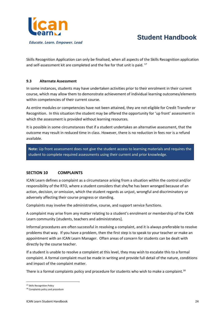

Skills Recognition Application can only be finalised, when all aspects of the Skills Recognition application and self-assessment kit are completed and the fee for that unit is paid.  $^{17}$ 

#### **9.3 Alternate Assessment**

In some instances, students may have undertaken activities prior to their enrolment in their current course, which may allow them to demonstrate achievement of individual learning outcomes/elements within competencies of their current course.

As entire modules or competencies have not been attained, they are not eligible for Credit Transfer or Recognition. In this situation the student may be offered the opportunity for 'up front' assessment in which the assessment is provided without learning resources.

It is possible in some circumstances that if a student undertakes an alternative assessment, that the outcome may result in reduced time in class. However, there is no reduction in fees nor is a refund available.

**Note:** Up front assessment does not give the student access to learning materials and requires the student to complete required assessments using their current and prior knowledge.

### <span id="page-24-0"></span>**SECTION 10 COMPLAINTS**

ICAN Learn defines a complaint as a circumstance arising from a situation within the control and/or responsibility of the RTO, where a student considers that she/he has been wronged because of an action, decision, or omission, which the student regards as unjust, wrongful and discriminatory or adversely affecting their course progress or standing.

Complaints may involve the administrative, course, and support service functions.

A complaint may arise from any matter relating to a student's enrolment or membership of the ICAN Learn community [students, teachers and administrators].

Informal procedures are often successful in resolving a complaint, and it is always preferable to resolve problems that way. If you have a problem, then the first step is to speak to your teacher or make an appointment with an ICAN Learn Manager. Often areas of concern for students can be dealt with directly by the course teacher.

If a student is unable to resolve a complaint at this level, they may wish to escalate this to a formal complaint. A formal complaint must be made in writing and provide full detail of the nature, conditions and impact of the complaint matter.

There is a formal complaints policy and procedure for students who wish to make a complaint.<sup>18</sup>

<sup>17</sup> Skills Recognition Policy

<sup>18</sup> Complaints policy and procedure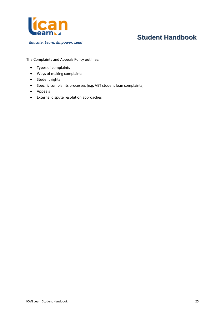

The Complaints and Appeals Policy outlines:

- Types of complaints
- Ways of making complaints
- Student rights
- Specific complaints processes [e.g. VET student loan complaints]
- Appeals
- External dispute resolution approaches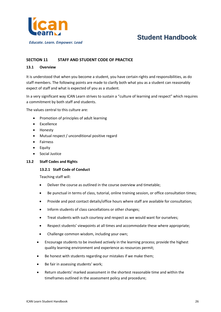

# <span id="page-26-0"></span>**SECTION 11 STAFF AND STUDENT CODE OF PRACTICE**

#### <span id="page-26-1"></span>**13.1 Overview**

It is understood that when you become a student, you have certain rights and responsibilities, as do staff members. The following points are made to clarify both what you as a student can reasonably expect of staff and what is expected of you as a student.

In a very significant way ICAN Learn strives to sustain a "culture of learning and respect" which requires a commitment by both staff and students.

The values central to this culture are:

- Promotion of principles of adult learning
- Excellence
- Honesty
- Mutual respect / unconditional positive regard
- Fairness
- Equity
- Social Justice

#### <span id="page-26-2"></span>**13.2 Staff Codes and Rights**

#### **13.2.1 Staff Code of Conduct**

Teaching staff will:

- Deliver the course as outlined in the course overview and timetable;
- Be punctual in terms of class, tutorial, online training session, or office consultation times;
- Provide and post contact details/office hours where staff are available for consultation;
- Inform students of class cancellations or other changes;
- Treat students with such courtesy and respect as we would want for ourselves;
- Respect students' viewpoints at all times and accommodate these where appropriate;
- Challenge common wisdom, including your own;
- Encourage students to be involved actively in the learning process; provide the highest quality learning environment and experience as resources permit;
- Be honest with students regarding our mistakes if we make them;
- Be fair in assessing students' work;
- Return students' marked assessment in the shortest reasonable time and within the timeframes outlined in the assessment policy and procedure;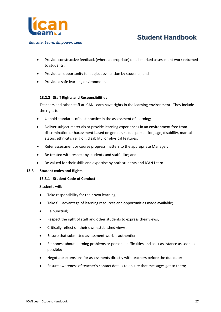

*Educate. Learn. Empower. Lead*

- Provide constructive feedback (where appropriate) on all marked assessment work returned to students;
- Provide an opportunity for subject evaluation by students; and
- Provide a safe learning environment.

# **13.2.2 Staff Rights and Responsibilities**

Teachers and other staff at ICAN Learn have rights in the learning environment. They include the right to:

- Uphold standards of best practice in the assessment of learning;
- Deliver subject materials or provide learning experiences in an environment free from discrimination or harassment based on gender, sexual persuasion, age, disability, marital status, ethnicity, religion, disability, or physical features;
- Refer assessment or course progress matters to the appropriate Manager;
- Be treated with respect by students and staff alike; and
- Be valued for their skills and expertise by both students and ICAN Learn.

### <span id="page-27-0"></span>**13.3 Student codes and Rights**

### **13.3.1 Student Code of Conduct**

Students will:

- Take responsibility for their own learning;
- Take full advantage of learning resources and opportunities made available;
- Be punctual;
- Respect the right of staff and other students to express their views;
- Critically reflect on their own established views;
- Ensure that submitted assessment work is authentic;
- Be honest about learning problems or personal difficulties and seek assistance as soon as possible;
- Negotiate extensions for assessments directly with teachers before the due date;
- Ensure awareness of teacher's contact details to ensure that messages get to them;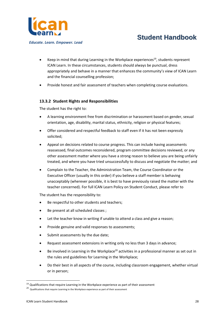

*Educate. Learn. Empower. Lead*

- Keep in mind that during Learning in the Workplace experiences<sup>19</sup>, students represent ICAN Learn. In these circumstances, students should always be punctual, dress appropriately and behave in a manner that enhances the community's view of ICAN Learn and the financial counselling profession;
- Provide honest and fair assessment of teachers when completing course evaluations.

# **13.3.2 Student Rights and Responsibilities**

The student has the right to:

- A learning environment free from discrimination or harassment based on gender, sexual orientation, age, disability, marital status, ethnicity, religion or physical features;
- Offer considered and respectful feedback to staff even if it has not been expressly solicited;
- Appeal on decisions related to course progress. This can include having assessments reassessed, final outcomes reconsidered, program committee decisions reviewed, or any other assessment matter where you have a strong reason to believe you are being unfairly treated, and where you have tried unsuccessfully to discuss and negotiate the matter; and
- Complain to the Teacher, the Administration Team, the Course Coordinator or the Executive Officer (usually in this order) if you believe a staff member is behaving unacceptably (wherever possible, it is best to have previously raised the matter with the teacher concerned). For full ICAN Learn Policy on Student Conduct, please refer to

The student has the responsibility to:

- Be respectful to other students and teachers;
- Be present at all scheduled classes ;
- Let the teacher know in writing if unable to attend a class and give a reason;
- Provide genuine and valid responses to assessments;
- Submit assessments by the due date;
- Request assessment extensions in writing only no less than 3 days in advance;
- Be involved in Learning in the Workplace<sup>20</sup> activities in a professional manner as set out in the rules and guidelines for Learning in the Workplace;
- Do their best in all aspects of the course, including classroom engagement, whether virtual or in person;

 $19$  Qualifications that require Learning in the Workplace experience as part of their assessment

 $20$  Qualifications that require Learning in the Workplace experience as part of their assessment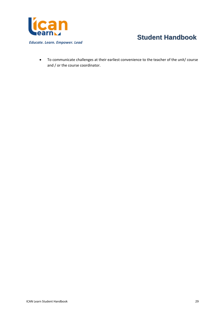

• To communicate challenges at their earliest convenience to the teacher of the unit/ course and / or the course coordinator.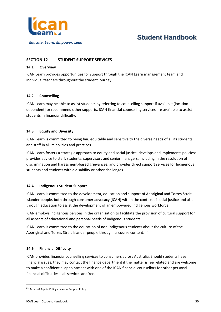

*Educate. Learn. Empower. Lead*

# <span id="page-30-0"></span>**SECTION 12 STUDENT SUPPORT SERVICES**

### **14.1 Overview**

ICAN Learn provides opportunities for support through the ICAN Learn management team and individual teachers throughout the student journey.

### **14.2 Counselling**

ICAN Learn may be able to assist students by referring to counselling support if available [location dependent] or recommend other supports. ICAN financial counselling services are available to assist students in financial difficulty.

# **14.3 Equity and Diversity**

ICAN Learn is committed to being fair, equitable and sensitive to the diverse needs of all its students and staff in all its policies and practices.

ICAN Learn fosters a strategic approach to equity and social justice, develops and implements policies; provides advice to staff, students, supervisors and senior managers, including in the resolution of discrimination and harassment-based grievances; and provides direct support services for Indigenous students and students with a disability or other challenges.

### **14.4 Indigenous Student Support**

ICAN Learn is committed to the development, education and support of Aboriginal and Torres Strait Islander people, both through consumer advocacy [ICAN] within the context of social justice and also through education to assist the development of an empowered Indigenous workforce.

ICAN employs Indigenous persons in the organisation to facilitate the provision of cultural support for all aspects of educational and personal needs of Indigenous students.

ICAN Learn is committed to the education of non-indigenous students about the culture of the Aboriginal and Torres Strait Islander people through its course content.<sup>21</sup>

### **14.6 Financial Difficulty**

ICAN provides financial counselling services to consumers across Australia. Should students have financial issues, they may contact the finance department if the matter is fee related and are welcome to make a confidential appointment with one of the ICAN financial counsellors for other personal financial difficulties – all services are free.

<sup>21</sup> Access & Equity Policy / Learner Support Policy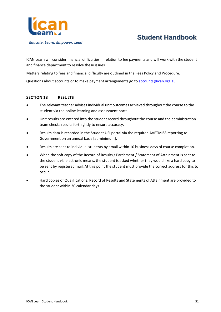

ICAN Learn will consider financial difficulties in relation to fee payments and will work with the student and finance department to resolve these issues.

Matters relating to fees and financial difficulty are outlined in the Fees Policy and Procedure.

Questions about accounts or to make payment arrangements go t[o accounts@ican.org.au](mailto:accounts@ican.org.au)

#### <span id="page-31-0"></span>**SECTION 13 RESULTS**

- The relevant teacher advises individual unit outcomes achieved throughout the course to the student via the online learning and assessment portal.
- Unit results are entered into the student record throughout the course and the administration team checks results fortnightly to ensure accuracy.
- Results data is recorded in the Student USI portal via the required AVETMISS reporting to Government on an annual basis [at minimum].
- Results are sent to individual students by email within 10 business days of course completion.
- When the soft copy of the Record of Results / Parchment / Statement of Attainment is sent to the student via electronic means, the student is asked whether they would like a hard copy to be sent by registered mail. At this point the student must provide the correct address for this to occur.
- Hard copies of Qualifications, Record of Results and Statements of Attainment are provided to the student within 30 calendar days.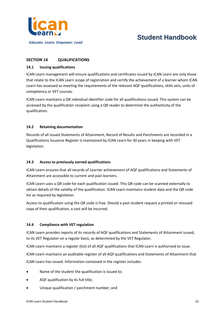

# <span id="page-32-0"></span>**SECTION 14 QUALIFICATIONS**

### **14.1 Issuing qualifications**

ICAN Learn management will ensure qualifications and certificates issued by ICAN Learn are only those that relate to the ICAN Learn scope of registration and certify the achievement of a learner whom ICAN Learn has assessed as meeting the requirements of the relevant AQF qualifications, skills sets, units of competency or VET courses.

ICAN Learn maintains a QR individual identifier code for all qualifications issued. This system can be accessed by the qualification recipient using a QR reader to determine the authenticity of the qualification.

# <span id="page-32-1"></span>**14.2 Retaining documentation**

Records of all issued Statements of Attainment, Record of Results and Parchments are recorded in a Qualifications Issuance Register is maintained by ICAN Learn for 30 years in keeping with VET legislation.

### <span id="page-32-2"></span>**14.3 Access to previously earned qualifications**

ICAN Learn ensures that all records of Learner achievement of AQF qualifications and Statements of Attainment are accessible to current and past learners.

ICAN Learn uses a QR code for each qualification issued. This QR code can be scanned externally to obtain details of the validity of the qualification. ICAN Learn maintains student data and the QR code list as required by legislation.

Access to qualification using the QR code is free. Should a past student request a printed or reissued copy of their qualification, a cost will be incurred.

# <span id="page-32-3"></span>**14.4 Compliance with VET regulation**

ICAN Learn provides reports of its records of AQF qualifications and Statements of Attainment issued, to its VET Regulator on a regular basis, as determined by the VET Regulator.

ICAN Learn maintains a register (list) of all AQF qualifications that ICAN Learn is authorised to issue.

ICAN Learn maintains an auditable register of all AQF qualifications and Statements of Attainment that

ICAN Learn has issued. Information contained in the register includes:

- Name of the student the qualification is issued to;
- AQF qualification by its full title;
- Unique qualification / parchment number; and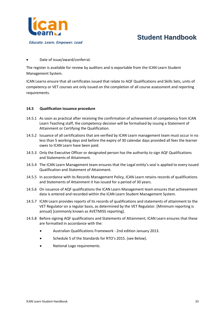

Date of issue/award/conferral.

The register is available for review by auditors and is exportable from the ICAN Learn Student Management System.

ICAN Learns ensure that all certificates issued that relate to AQF Qualifications and Skills Sets, units of competency or VET courses are only issued on the completion of all course assessment and reporting requirements.

### <span id="page-33-0"></span>**14.5 Qualification issuance procedure**

- 14.5.1 As soon as practical after receiving the confirmation of achievement of competency from ICAN Learn Teaching staff, the competency decision will be formalised by issuing a Statement of Attainment or Certifying the Qualification.
- 14.5.2 Issuance of all certifications that are verified by ICAN Learn management team must occur in no less than 5 working days and before the expiry of 30 calendar days provided all fees the learner owes to ICAN Learn have been paid.
- 14.5.3 Only the Executive Officer or designated person has the authority to sign AQF Qualifications and Statements of Attainment.
- 14.5.4 The ICAN Learn Management team ensures that the Legal entity's seal is applied to every issued Qualification and Statement of Attainment.
- 14.5.5 In accordance with its Records Management Policy, ICAN Learn retains records of qualifications and Statements of Attainment it has issued for a period of 30 years.
- 14.5.6 On issuance of AQF qualifications the ICAN Learn Management team ensures that achievement data is entered and recorded within the ICAN Learn Student Management System.
- 14.5.7 ICAN Learn provides reports of its records of qualifications and statements of attainment to the VET Regulator on a regular basis, as determined by the VET Regulator. [Minimum reporting is annual] [commonly known as AVETMISS reporting].
- 14.5.8 Before signing AQF qualifications and Statements of Attainment, ICAN Learn ensures that these are formatted in accordance with the:
	- Australian Qualifications Framework 2nd edition January 2013.
	- Schedule 5 of the Standards for RTO's 2015. (see Below).
	- National Logo requirements.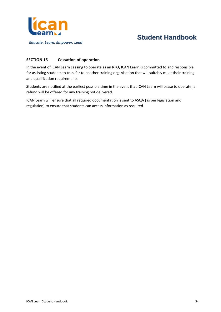

# <span id="page-34-0"></span>**SECTION 15 Cessation of operation**

In the event of ICAN Learn ceasing to operate as an RTO, ICAN Learn is committed to and responsible for assisting students to transfer to another training organisation that will suitably meet their training and qualification requirements.

Students are notified at the earliest possible time in the event that ICAN Learn will cease to operate; a refund will be offered for any training not delivered.

ICAN Learn will ensure that all required documentation is sent to ASQA [as per legislation and regulation] to ensure that students can access information as required.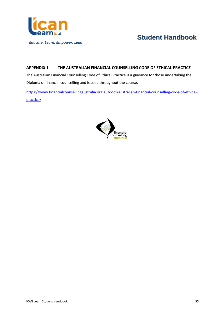

# <span id="page-35-0"></span>**APPENDIX 1 THE AUSTRALIAN FINANCIAL COUNSELLING CODE OF ETHICAL PRACTICE**

The Australian Financial Counselling Code of Ethical Practice is a guidance for those undertaking the Diploma of financial counselling and is used throughout the course.

[https://www.financialcounsellingaustralia.org.au/docs/australian-financial-counselling-code-of-ethical](https://www.financialcounsellingaustralia.org.au/docs/australian-financial-counselling-code-of-ethical-practice/)[practice/](https://www.financialcounsellingaustralia.org.au/docs/australian-financial-counselling-code-of-ethical-practice/)

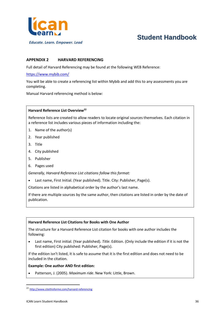

#### *Educate. Learn. Empower. Lead*

# **Student Handbook**

### <span id="page-36-0"></span>**APPENDIX 2 HARVARD REFERENCING**

Full detail of Harvard Referencing may be found at the following WEB Reference:

#### <https://www.mybib.com/>

You will be able to create a referencing list within Mybib and add this to any assessments you are completing.

Manual Harvard referencing method is below:

### **Harvard Reference List Overview<sup>22</sup>**

Reference lists are created to allow readers to locate original sources themselves. Each citation in a reference list includes various pieces of information including the:

- 1. Name of the author(s)
- 2. Year published
- 3. Title
- 4. City published
- 5. Publisher
- 6. Pages used

*Generally, Harvard Reference List citations follow this format:* 

• Last name, First Initial. (Year published). Title. City: Publisher, Page(s).

Citations are listed in alphabetical order by the author's last name.

If there are multiple sources by the same author, then citations are listed in order by the date of publication.

#### **Harvard Reference List Citations for Books with One Author**

The structure for a Harvard Reference List citation for books with one author includes the following:

• Last name, First initial. (Year published). *Title*. Edition. (Only include the edition if it is not the first edition) City published: Publisher, Page(s).

If the edition isn't listed, it is safe to assume that it is the first edition and does not need to be included in the citation.

#### **Example: One author AND first edition:**

• Patterson, J. (2005). *Maximum ride*. New York: Little, Brown.

<sup>22</sup> <http://www.citethisforme.com/harvard-referencing>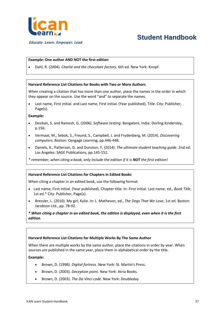

*Educate. Learn. Empower. Lead*

### **Example: One author AND NOT the first edition**

• Dahl, R. (2004). *Charlie and the chocolate factory*. 6th ed. New York: Knopf.

#### **Harvard Reference List Citations for Books with Two or More Authors**

When creating a citation that has more than one author, place the names in the order in which they appear on the source. Use the word "and" to separate the names.

• Last name, First initial. and Last name, First initial. (Year published). Title. City: Publisher, Page(s).

#### **Example:**

- Desikan, S. and Ramesh, G. (2006). *Software testing*. Bangalore, India: Dorling Kindersley, p.156.
- Vermaat, M., Sebok, S., Freund, S., Campbell, J. and Frydenberg, M. (2014). *Discovering computers*. Boston: Cengage Learning, pp.446-448.
- Daniels, K., Patterson, G. and Dunston, Y. (2014). *The ultimate student teaching guide*. 2nd ed. Los Angeles: SAGE Publications, pp.145-151.
- *\* remember, when citing a book, only include the edition if it is NOT the first edition!*

### **Harvard Reference List Citations for Chapters in Edited Books**

When citing a chapter in an edited book, use the following format:

- Last name, First initial. (Year published). Chapter title. In: First initial. Last name, ed., *Book Title*, 1st ed.\* City: Publisher, Page(s).
- Bressler, L. (2010). My girl, Kylie. In: L. Matheson, ed., *The Dogs That We Love*, 1st ed. Boston: Jacobson Ltd., pp. 78-92.

### *\* When citing a chapter in an edited book, the edition is displayed, even when it is the first edition.*

### **Harvard Reference List Citations for Multiple Works By The Same Author**

When there are multiple works by the same author, place the citations in order by year. When sources are published in the same year, place them in alphabetical order by the title.

### **Example:**

- Brown, D. (1998). *Digital fortress*. New York: St. Martin's Press.
- Brown, D. (2003). *Deception point*. New York: Atria Books.
- Brown, D. (2003). *The Da Vinci code*. New York: Doubleday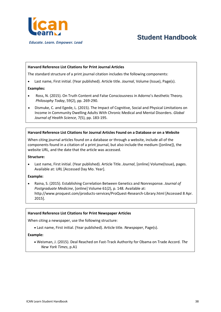

*Educate. Learn. Empower. Lead*

# **Student Handbook**

#### **Harvard Reference List Citations for Print Journal Articles**

The standard structure of a print journal citation includes the following components:

• Last name, First initial. (Year published). Article title. *Journal*, Volume (Issue), Page(s).

#### **Examples:**

- Ross, N. (2015). On Truth Content and False Consciousness in Adorno's Aesthetic Theory. *Philosophy Today*, 59(2), pp. 269-290.
- Dismuke, C. and Egede, L. (2015). The Impact of Cognitive, Social and Physical Limitations on Income in Community Dwelling Adults With Chronic Medical and Mental Disorders. *Global Journal of Health Science*, 7(5), pp. 183-195.

#### **Harvard Reference List Citations for Journal Articles Found on a Database or on a Website**

When citing journal articles found on a database or through a website, include all of the components found in a citation of a print journal, but also include the medium ([online]), the website URL, and the date that the article was accessed.

#### **Structure:**

• Last name, First initial. (Year published). Article Title. *Journal*, [online] Volume(Issue), pages. Available at: URL [Accessed Day Mo. Year].

#### **Example:**

• Raina, S. (2015). Establishing Correlation Between Genetics and Nonresponse. *Journal of Postgraduate Medicine*, [online] Volume 61(2), p. 148. Available at: http://www.proquest.com/products-services/ProQuest-Research-Library.html [Accessed 8 Apr. 2015].

#### **Harvard Reference List Citations for Print Newspaper Articles**

When citing a newspaper, use the following structure:

• Last name, First initial. (Year published). Article title. *Newspaper*, Page(s).

#### **Example:**

• Weisman, J. (2015). Deal Reached on Fast-Track Authority for Obama on Trade Accord. *The New York Times*, p.A1